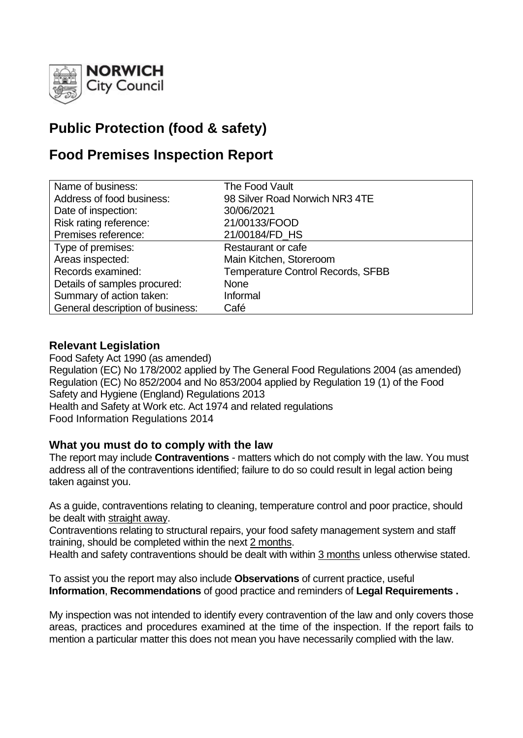

# **Public Protection (food & safety)**

# **Food Premises Inspection Report**

| Name of business:                | The Food Vault                           |
|----------------------------------|------------------------------------------|
| Address of food business:        | 98 Silver Road Norwich NR3 4TE           |
| Date of inspection:              | 30/06/2021                               |
| Risk rating reference:           | 21/00133/FOOD                            |
| Premises reference:              | 21/00184/FD HS                           |
| Type of premises:                | Restaurant or cafe                       |
| Areas inspected:                 | Main Kitchen, Storeroom                  |
| Records examined:                | <b>Temperature Control Records, SFBB</b> |
| Details of samples procured:     | <b>None</b>                              |
| Summary of action taken:         | Informal                                 |
| General description of business: | Café                                     |

# **Relevant Legislation**

Food Safety Act 1990 (as amended) Regulation (EC) No 178/2002 applied by The General Food Regulations 2004 (as amended) Regulation (EC) No 852/2004 and No 853/2004 applied by Regulation 19 (1) of the Food Safety and Hygiene (England) Regulations 2013 Health and Safety at Work etc. Act 1974 and related regulations Food Information Regulations 2014

## **What you must do to comply with the law**

The report may include **Contraventions** - matters which do not comply with the law. You must address all of the contraventions identified; failure to do so could result in legal action being taken against you.

As a guide, contraventions relating to cleaning, temperature control and poor practice, should be dealt with straight away.

Contraventions relating to structural repairs, your food safety management system and staff training, should be completed within the next 2 months.

Health and safety contraventions should be dealt with within 3 months unless otherwise stated.

To assist you the report may also include **Observations** of current practice, useful **Information**, **Recommendations** of good practice and reminders of **Legal Requirements .**

My inspection was not intended to identify every contravention of the law and only covers those areas, practices and procedures examined at the time of the inspection. If the report fails to mention a particular matter this does not mean you have necessarily complied with the law.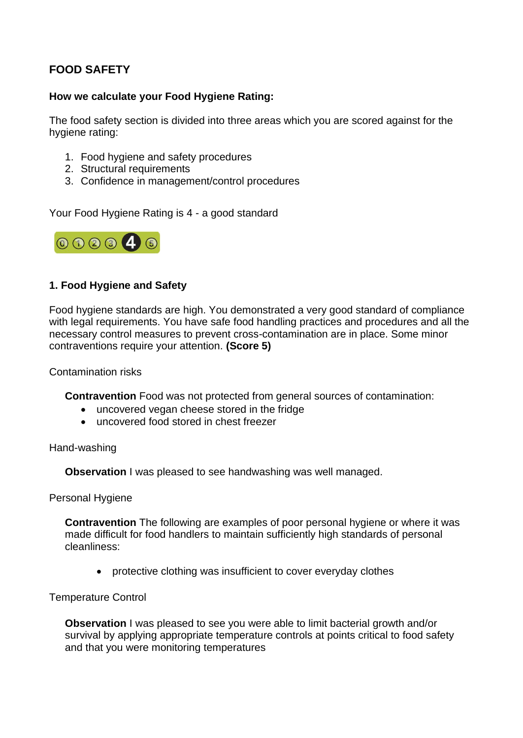# **FOOD SAFETY**

## **How we calculate your Food Hygiene Rating:**

The food safety section is divided into three areas which you are scored against for the hygiene rating:

- 1. Food hygiene and safety procedures
- 2. Structural requirements
- 3. Confidence in management/control procedures

Your Food Hygiene Rating is 4 - a good standard



### **1. Food Hygiene and Safety**

Food hygiene standards are high. You demonstrated a very good standard of compliance with legal requirements. You have safe food handling practices and procedures and all the necessary control measures to prevent cross-contamination are in place. Some minor contraventions require your attention. **(Score 5)**

Contamination risks

**Contravention** Food was not protected from general sources of contamination:

- uncovered vegan cheese stored in the fridge
- uncovered food stored in chest freezer

Hand-washing

**Observation I** was pleased to see handwashing was well managed.

Personal Hygiene

**Contravention** The following are examples of poor personal hygiene or where it was made difficult for food handlers to maintain sufficiently high standards of personal cleanliness:

• protective clothing was insufficient to cover everyday clothes

Temperature Control

**Observation** I was pleased to see you were able to limit bacterial growth and/or survival by applying appropriate temperature controls at points critical to food safety and that you were monitoring temperatures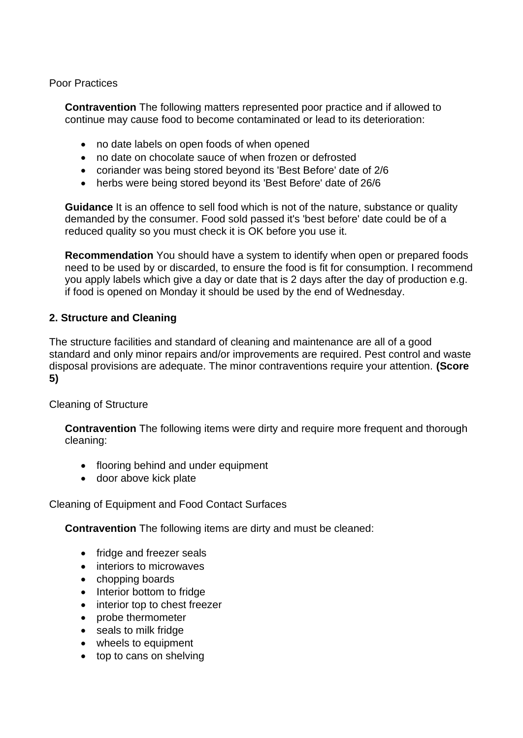Poor Practices

**Contravention** The following matters represented poor practice and if allowed to continue may cause food to become contaminated or lead to its deterioration:

- no date labels on open foods of when opened
- no date on chocolate sauce of when frozen or defrosted
- coriander was being stored beyond its 'Best Before' date of 2/6
- herbs were being stored beyond its 'Best Before' date of 26/6

**Guidance** It is an offence to sell food which is not of the nature, substance or quality demanded by the consumer. Food sold passed it's 'best before' date could be of a reduced quality so you must check it is OK before you use it.

**Recommendation** You should have a system to identify when open or prepared foods need to be used by or discarded, to ensure the food is fit for consumption. I recommend you apply labels which give a day or date that is 2 days after the day of production e.g. if food is opened on Monday it should be used by the end of Wednesday.

#### **2. Structure and Cleaning**

The structure facilities and standard of cleaning and maintenance are all of a good standard and only minor repairs and/or improvements are required. Pest control and waste disposal provisions are adequate. The minor contraventions require your attention. **(Score 5)**

Cleaning of Structure

**Contravention** The following items were dirty and require more frequent and thorough cleaning:

- flooring behind and under equipment
- door above kick plate

#### Cleaning of Equipment and Food Contact Surfaces

**Contravention** The following items are dirty and must be cleaned:

- fridge and freezer seals
- interiors to microwaves
- chopping boards
- Interior bottom to fridge
- interior top to chest freezer
- probe thermometer
- seals to milk fridge
- wheels to equipment
- top to cans on shelving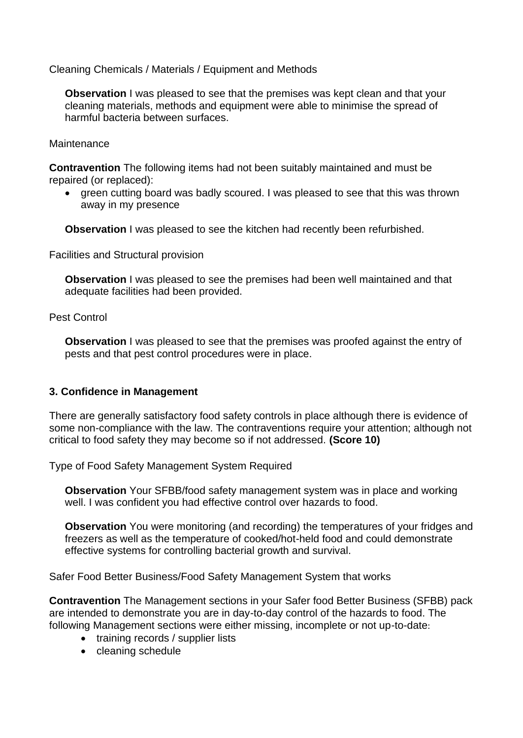Cleaning Chemicals / Materials / Equipment and Methods

**Observation** I was pleased to see that the premises was kept clean and that your cleaning materials, methods and equipment were able to minimise the spread of harmful bacteria between surfaces.

#### **Maintenance**

**Contravention** The following items had not been suitably maintained and must be repaired (or replaced):

• green cutting board was badly scoured. I was pleased to see that this was thrown away in my presence

**Observation** I was pleased to see the kitchen had recently been refurbished.

Facilities and Structural provision

**Observation** I was pleased to see the premises had been well maintained and that adequate facilities had been provided.

#### Pest Control

**Observation** I was pleased to see that the premises was proofed against the entry of pests and that pest control procedures were in place.

#### **3. Confidence in Management**

There are generally satisfactory food safety controls in place although there is evidence of some non-compliance with the law. The contraventions require your attention; although not critical to food safety they may become so if not addressed. **(Score 10)**

Type of Food Safety Management System Required

**Observation** Your SFBB/food safety management system was in place and working well. I was confident you had effective control over hazards to food.

**Observation** You were monitoring (and recording) the temperatures of your fridges and freezers as well as the temperature of cooked/hot-held food and could demonstrate effective systems for controlling bacterial growth and survival.

Safer Food Better Business/Food Safety Management System that works

**Contravention** The Management sections in your Safer food Better Business (SFBB) pack are intended to demonstrate you are in day-to-day control of the hazards to food. The following Management sections were either missing, incomplete or not up-to-date:

- training records / supplier lists
- cleaning schedule